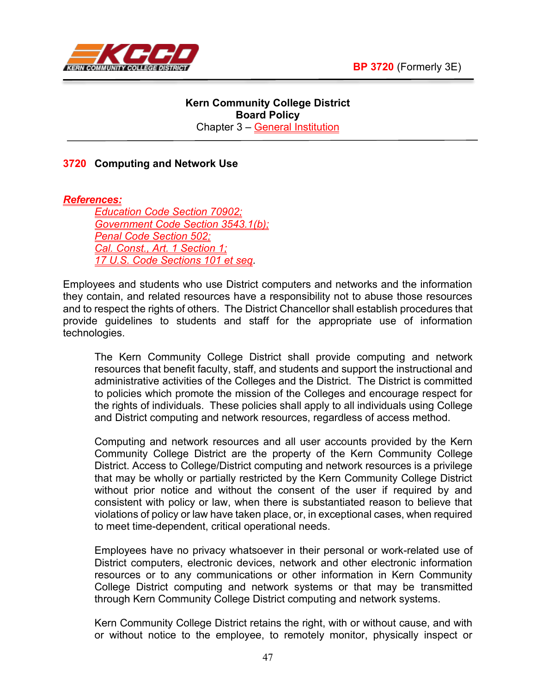

## **Kern Community College District Board Policy** Chapter 3 – General Institution

## **3720 Computing and Network Use**

*References:*

*Education Code Section 70902; Government Code Section 3543.1(b); Penal Code Section 502; Cal. Const., Art. 1 Section 1; 17 U.S. Code Sections 101 et seq.*

Employees and students who use District computers and networks and the information they contain, and related resources have a responsibility not to abuse those resources and to respect the rights of others. The District Chancellor shall establish procedures that provide guidelines to students and staff for the appropriate use of information technologies.

The Kern Community College District shall provide computing and network resources that benefit faculty, staff, and students and support the instructional and administrative activities of the Colleges and the District. The District is committed to policies which promote the mission of the Colleges and encourage respect for the rights of individuals. These policies shall apply to all individuals using College and District computing and network resources, regardless of access method.

Computing and network resources and all user accounts provided by the Kern Community College District are the property of the Kern Community College District. Access to College/District computing and network resources is a privilege that may be wholly or partially restricted by the Kern Community College District without prior notice and without the consent of the user if required by and consistent with policy or law, when there is substantiated reason to believe that violations of policy or law have taken place, or, in exceptional cases, when required to meet time-dependent, critical operational needs.

Employees have no privacy whatsoever in their personal or work-related use of District computers, electronic devices, network and other electronic information resources or to any communications or other information in Kern Community College District computing and network systems or that may be transmitted through Kern Community College District computing and network systems.

Kern Community College District retains the right, with or without cause, and with or without notice to the employee, to remotely monitor, physically inspect or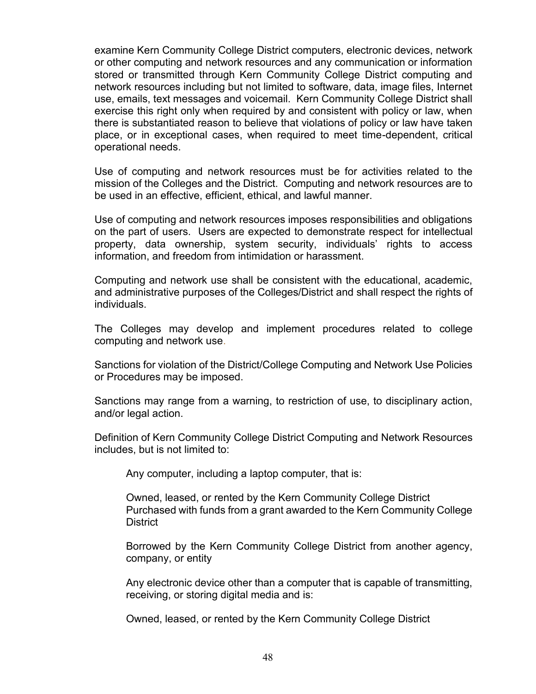examine Kern Community College District computers, electronic devices, network or other computing and network resources and any communication or information stored or transmitted through Kern Community College District computing and network resources including but not limited to software, data, image files, Internet use, emails, text messages and voicemail. Kern Community College District shall exercise this right only when required by and consistent with policy or law, when there is substantiated reason to believe that violations of policy or law have taken place, or in exceptional cases, when required to meet time-dependent, critical operational needs.

Use of computing and network resources must be for activities related to the mission of the Colleges and the District. Computing and network resources are to be used in an effective, efficient, ethical, and lawful manner.

Use of computing and network resources imposes responsibilities and obligations on the part of users. Users are expected to demonstrate respect for intellectual property, data ownership, system security, individuals' rights to access information, and freedom from intimidation or harassment.

Computing and network use shall be consistent with the educational, academic, and administrative purposes of the Colleges/District and shall respect the rights of individuals.

The Colleges may develop and implement procedures related to college computing and network use.

Sanctions for violation of the District/College Computing and Network Use Policies or Procedures may be imposed.

Sanctions may range from a warning, to restriction of use, to disciplinary action, and/or legal action.

Definition of Kern Community College District Computing and Network Resources includes, but is not limited to:

Any computer, including a laptop computer, that is:

Owned, leased, or rented by the Kern Community College District Purchased with funds from a grant awarded to the Kern Community College **District** 

Borrowed by the Kern Community College District from another agency, company, or entity

Any electronic device other than a computer that is capable of transmitting, receiving, or storing digital media and is:

Owned, leased, or rented by the Kern Community College District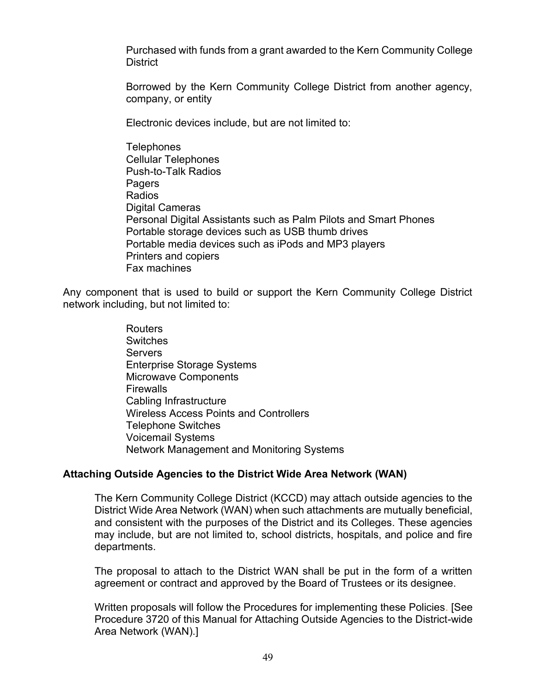Purchased with funds from a grant awarded to the Kern Community College **District** 

Borrowed by the Kern Community College District from another agency, company, or entity

Electronic devices include, but are not limited to:

**Telephones** Cellular Telephones Push-to-Talk Radios Pagers Radios Digital Cameras Personal Digital Assistants such as Palm Pilots and Smart Phones Portable storage devices such as USB thumb drives Portable media devices such as iPods and MP3 players Printers and copiers Fax machines

Any component that is used to build or support the Kern Community College District network including, but not limited to:

> Routers Switches **Servers** Enterprise Storage Systems Microwave Components Firewalls Cabling Infrastructure Wireless Access Points and Controllers Telephone Switches Voicemail Systems Network Management and Monitoring Systems

### **Attaching Outside Agencies to the District Wide Area Network (WAN)**

The Kern Community College District (KCCD) may attach outside agencies to the District Wide Area Network (WAN) when such attachments are mutually beneficial, and consistent with the purposes of the District and its Colleges. These agencies may include, but are not limited to, school districts, hospitals, and police and fire departments.

The proposal to attach to the District WAN shall be put in the form of a written agreement or contract and approved by the Board of Trustees or its designee.

Written proposals will follow the Procedures for implementing these Policies. [See Procedure 3720 of this Manual for Attaching Outside Agencies to the District-wide Area Network (WAN).]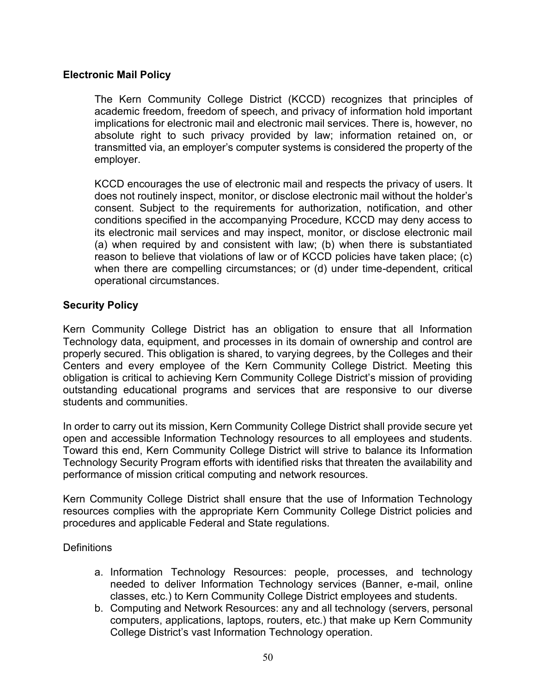## **Electronic Mail Policy**

The Kern Community College District (KCCD) recognizes that principles of academic freedom, freedom of speech, and privacy of information hold important implications for electronic mail and electronic mail services. There is, however, no absolute right to such privacy provided by law; information retained on, or transmitted via, an employer's computer systems is considered the property of the employer.

KCCD encourages the use of electronic mail and respects the privacy of users. It does not routinely inspect, monitor, or disclose electronic mail without the holder's consent. Subject to the requirements for authorization, notification, and other conditions specified in the accompanying Procedure, KCCD may deny access to its electronic mail services and may inspect, monitor, or disclose electronic mail (a) when required by and consistent with law; (b) when there is substantiated reason to believe that violations of law or of KCCD policies have taken place; (c) when there are compelling circumstances; or (d) under time-dependent, critical operational circumstances.

### **Security Policy**

Kern Community College District has an obligation to ensure that all Information Technology data, equipment, and processes in its domain of ownership and control are properly secured. This obligation is shared, to varying degrees, by the Colleges and their Centers and every employee of the Kern Community College District. Meeting this obligation is critical to achieving Kern Community College District's mission of providing outstanding educational programs and services that are responsive to our diverse students and communities.

In order to carry out its mission, Kern Community College District shall provide secure yet open and accessible Information Technology resources to all employees and students. Toward this end, Kern Community College District will strive to balance its Information Technology Security Program efforts with identified risks that threaten the availability and performance of mission critical computing and network resources.

Kern Community College District shall ensure that the use of Information Technology resources complies with the appropriate Kern Community College District policies and procedures and applicable Federal and State regulations.

### **Definitions**

- a. Information Technology Resources: people, processes, and technology needed to deliver Information Technology services (Banner, e-mail, online classes, etc.) to Kern Community College District employees and students.
- b. Computing and Network Resources: any and all technology (servers, personal computers, applications, laptops, routers, etc.) that make up Kern Community College District's vast Information Technology operation.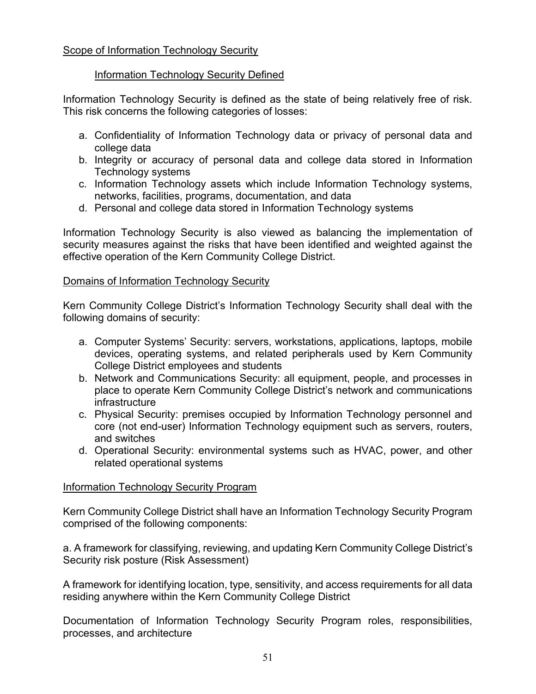# Information Technology Security Defined

Information Technology Security is defined as the state of being relatively free of risk. This risk concerns the following categories of losses:

- a. Confidentiality of Information Technology data or privacy of personal data and college data
- b. Integrity or accuracy of personal data and college data stored in Information Technology systems
- c. Information Technology assets which include Information Technology systems, networks, facilities, programs, documentation, and data
- d. Personal and college data stored in Information Technology systems

Information Technology Security is also viewed as balancing the implementation of security measures against the risks that have been identified and weighted against the effective operation of the Kern Community College District.

# Domains of Information Technology Security

Kern Community College District's Information Technology Security shall deal with the following domains of security:

- a. Computer Systems' Security: servers, workstations, applications, laptops, mobile devices, operating systems, and related peripherals used by Kern Community College District employees and students
- b. Network and Communications Security: all equipment, people, and processes in place to operate Kern Community College District's network and communications infrastructure
- c. Physical Security: premises occupied by Information Technology personnel and core (not end-user) Information Technology equipment such as servers, routers, and switches
- d. Operational Security: environmental systems such as HVAC, power, and other related operational systems

# Information Technology Security Program

Kern Community College District shall have an Information Technology Security Program comprised of the following components:

a. A framework for classifying, reviewing, and updating Kern Community College District's Security risk posture (Risk Assessment)

A framework for identifying location, type, sensitivity, and access requirements for all data residing anywhere within the Kern Community College District

Documentation of Information Technology Security Program roles, responsibilities, processes, and architecture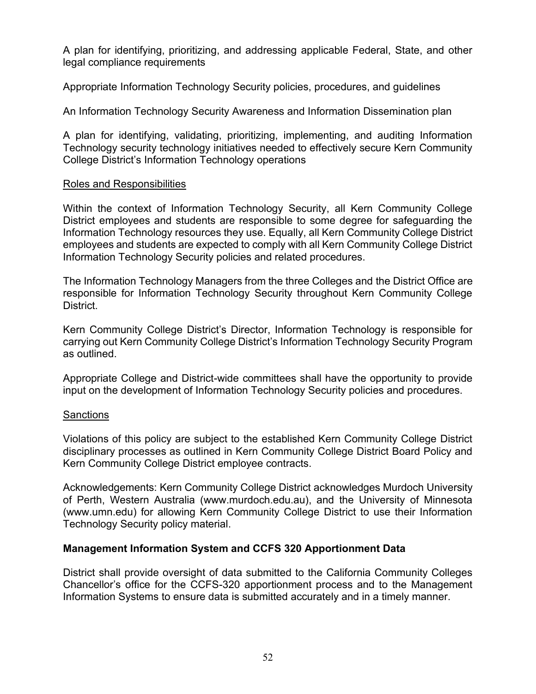A plan for identifying, prioritizing, and addressing applicable Federal, State, and other legal compliance requirements

Appropriate Information Technology Security policies, procedures, and guidelines

An Information Technology Security Awareness and Information Dissemination plan

A plan for identifying, validating, prioritizing, implementing, and auditing Information Technology security technology initiatives needed to effectively secure Kern Community College District's Information Technology operations

### Roles and Responsibilities

Within the context of Information Technology Security, all Kern Community College District employees and students are responsible to some degree for safeguarding the Information Technology resources they use. Equally, all Kern Community College District employees and students are expected to comply with all Kern Community College District Information Technology Security policies and related procedures.

The Information Technology Managers from the three Colleges and the District Office are responsible for Information Technology Security throughout Kern Community College District.

Kern Community College District's Director, Information Technology is responsible for carrying out Kern Community College District's Information Technology Security Program as outlined.

Appropriate College and District-wide committees shall have the opportunity to provide input on the development of Information Technology Security policies and procedures.

### Sanctions

Violations of this policy are subject to the established Kern Community College District disciplinary processes as outlined in Kern Community College District Board Policy and Kern Community College District employee contracts.

Acknowledgements: Kern Community College District acknowledges Murdoch University of Perth, Western Australia (www.murdoch.edu.au), and the University of Minnesota (www.umn.edu) for allowing Kern Community College District to use their Information Technology Security policy material.

### **Management Information System and CCFS 320 Apportionment Data**

District shall provide oversight of data submitted to the California Community Colleges Chancellor's office for the CCFS-320 apportionment process and to the Management Information Systems to ensure data is submitted accurately and in a timely manner.